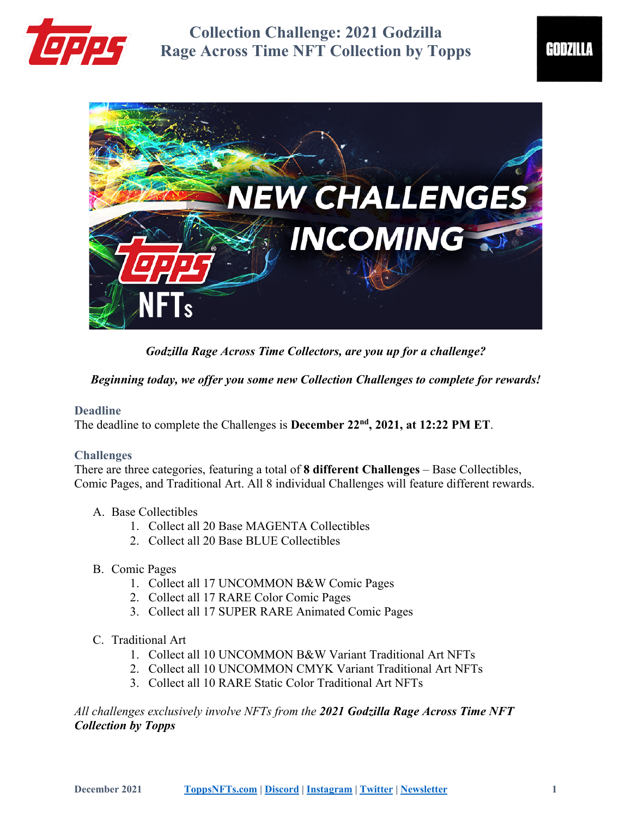



*Godzilla Rage Across Time Collectors, are you up for a challenge?*

*Beginning today, we offer you some new Collection Challenges to complete for rewards!*

## **Deadline**

The deadline to complete the Challenges is **December 22nd, 2021, at 12:22 PM ET**.

## **Challenges**

There are three categories, featuring a total of **8 different Challenges** – Base Collectibles, Comic Pages, and Traditional Art. All 8 individual Challenges will feature different rewards.

#### A. Base Collectibles

- 1. Collect all 20 Base MAGENTA Collectibles
- 2. Collect all 20 Base BLUE Collectibles
- B. Comic Pages
	- 1. Collect all 17 UNCOMMON B&W Comic Pages
	- 2. Collect all 17 RARE Color Comic Pages
	- 3. Collect all 17 SUPER RARE Animated Comic Pages
- C. Traditional Art
	- 1. Collect all 10 UNCOMMON B&W Variant Traditional Art NFTs
	- 2. Collect all 10 UNCOMMON CMYK Variant Traditional Art NFTs
	- 3. Collect all 10 RARE Static Color Traditional Art NFTs

*All challenges exclusively involve NFTs from the 2021 Godzilla Rage Across Time NFT Collection by Topps*